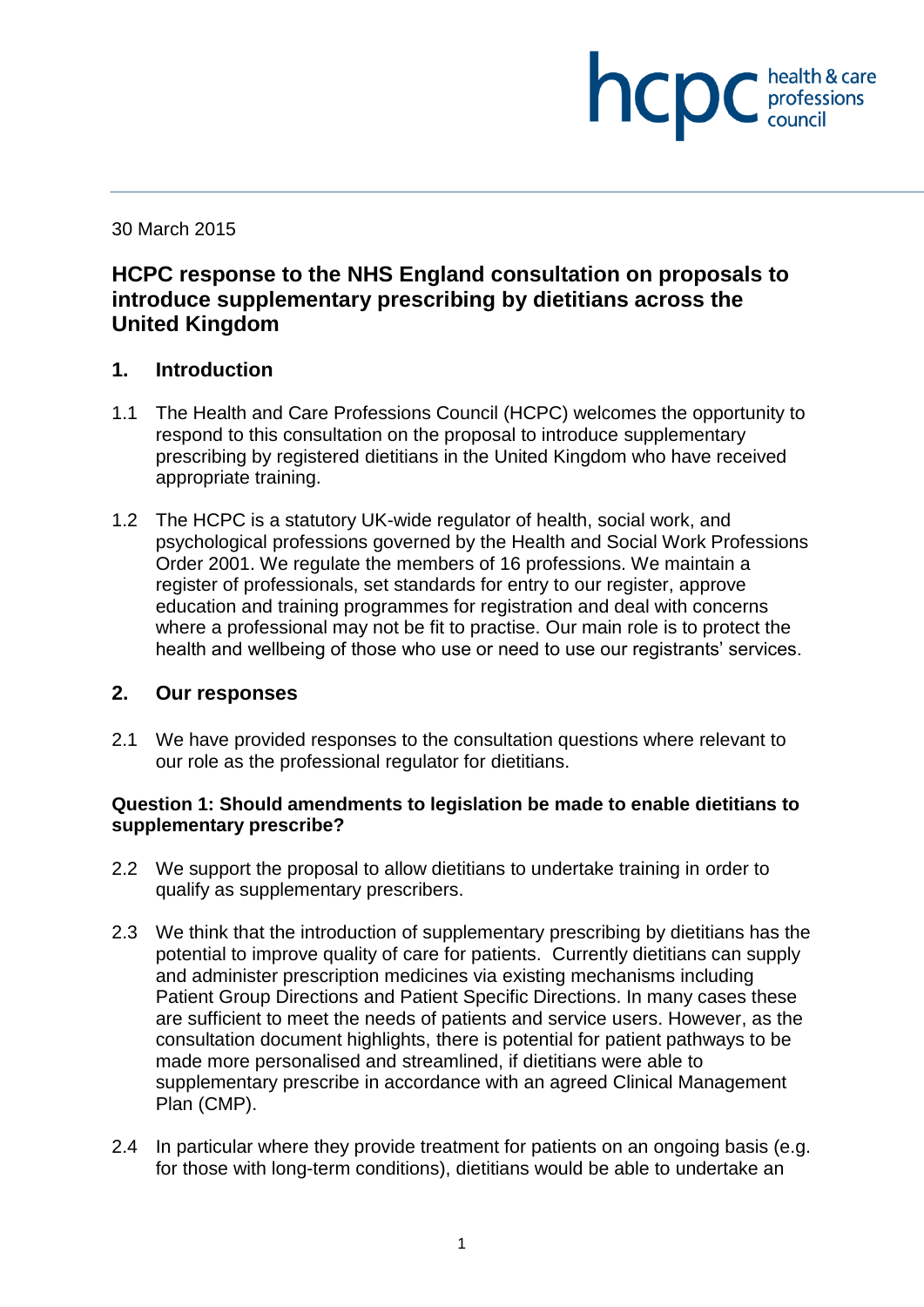30 March 2015

# **HCPC response to the NHS England consultation on proposals to introduce supplementary prescribing by dietitians across the United Kingdom**

**INCDC** *c professions* 

health & care

## **1. Introduction**

- 1.1 The Health and Care Professions Council (HCPC) welcomes the opportunity to respond to this consultation on the proposal to introduce supplementary prescribing by registered dietitians in the United Kingdom who have received appropriate training.
- 1.2 The HCPC is a statutory UK-wide regulator of health, social work, and psychological professions governed by the Health and Social Work Professions Order 2001. We regulate the members of 16 professions. We maintain a register of professionals, set standards for entry to our register, approve education and training programmes for registration and deal with concerns where a professional may not be fit to practise. Our main role is to protect the health and wellbeing of those who use or need to use our registrants' services.

### **2. Our responses**

2.1 We have provided responses to the consultation questions where relevant to our role as the professional regulator for dietitians.

#### **Question 1: Should amendments to legislation be made to enable dietitians to supplementary prescribe?**

- 2.2 We support the proposal to allow dietitians to undertake training in order to qualify as supplementary prescribers.
- 2.3 We think that the introduction of supplementary prescribing by dietitians has the potential to improve quality of care for patients. Currently dietitians can supply and administer prescription medicines via existing mechanisms including Patient Group Directions and Patient Specific Directions. In many cases these are sufficient to meet the needs of patients and service users. However, as the consultation document highlights, there is potential for patient pathways to be made more personalised and streamlined, if dietitians were able to supplementary prescribe in accordance with an agreed Clinical Management Plan (CMP).
- 2.4 In particular where they provide treatment for patients on an ongoing basis (e.g. for those with long-term conditions), dietitians would be able to undertake an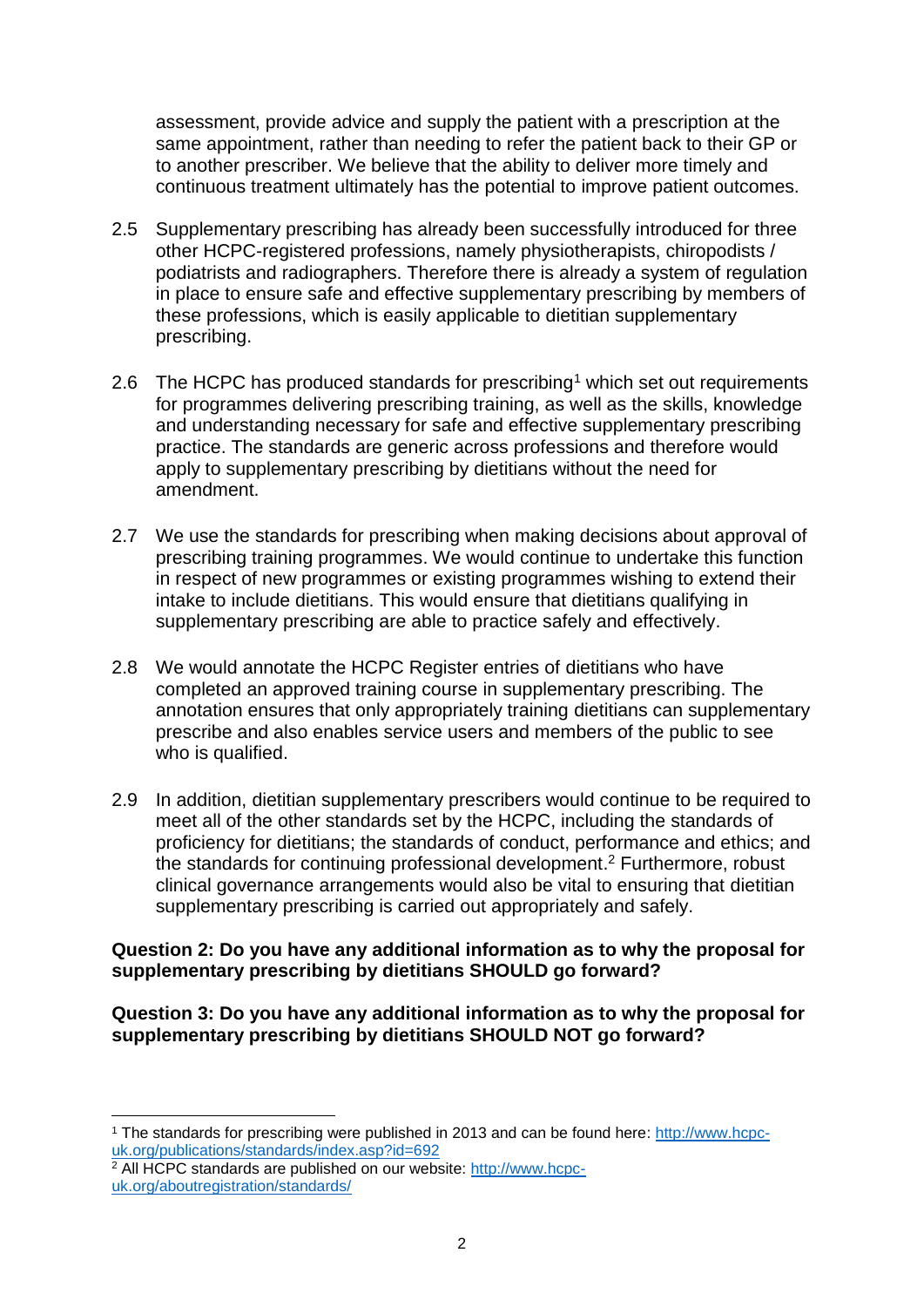assessment, provide advice and supply the patient with a prescription at the same appointment, rather than needing to refer the patient back to their GP or to another prescriber. We believe that the ability to deliver more timely and continuous treatment ultimately has the potential to improve patient outcomes.

- 2.5 Supplementary prescribing has already been successfully introduced for three other HCPC-registered professions, namely physiotherapists, chiropodists / podiatrists and radiographers. Therefore there is already a system of regulation in place to ensure safe and effective supplementary prescribing by members of these professions, which is easily applicable to dietitian supplementary prescribing.
- 2.6 The HCPC has produced standards for prescribing<sup>1</sup> which set out requirements for programmes delivering prescribing training, as well as the skills, knowledge and understanding necessary for safe and effective supplementary prescribing practice. The standards are generic across professions and therefore would apply to supplementary prescribing by dietitians without the need for amendment.
- 2.7 We use the standards for prescribing when making decisions about approval of prescribing training programmes. We would continue to undertake this function in respect of new programmes or existing programmes wishing to extend their intake to include dietitians. This would ensure that dietitians qualifying in supplementary prescribing are able to practice safely and effectively.
- 2.8 We would annotate the HCPC Register entries of dietitians who have completed an approved training course in supplementary prescribing. The annotation ensures that only appropriately training dietitians can supplementary prescribe and also enables service users and members of the public to see who is qualified.
- 2.9 In addition, dietitian supplementary prescribers would continue to be required to meet all of the other standards set by the HCPC, including the standards of proficiency for dietitians; the standards of conduct, performance and ethics; and the standards for continuing professional development. <sup>2</sup> Furthermore, robust clinical governance arrangements would also be vital to ensuring that dietitian supplementary prescribing is carried out appropriately and safely.

#### **Question 2: Do you have any additional information as to why the proposal for supplementary prescribing by dietitians SHOULD go forward?**

**Question 3: Do you have any additional information as to why the proposal for supplementary prescribing by dietitians SHOULD NOT go forward?**

**<sup>.</sup>** <sup>1</sup> The standards for prescribing were published in 2013 and can be found here: http://www.hcpcuk.org/publications/standards/index.asp?id=692

<sup>2</sup> All HCPC standards are published on our website: http://www.hcpcuk.org/aboutregistration/standards/